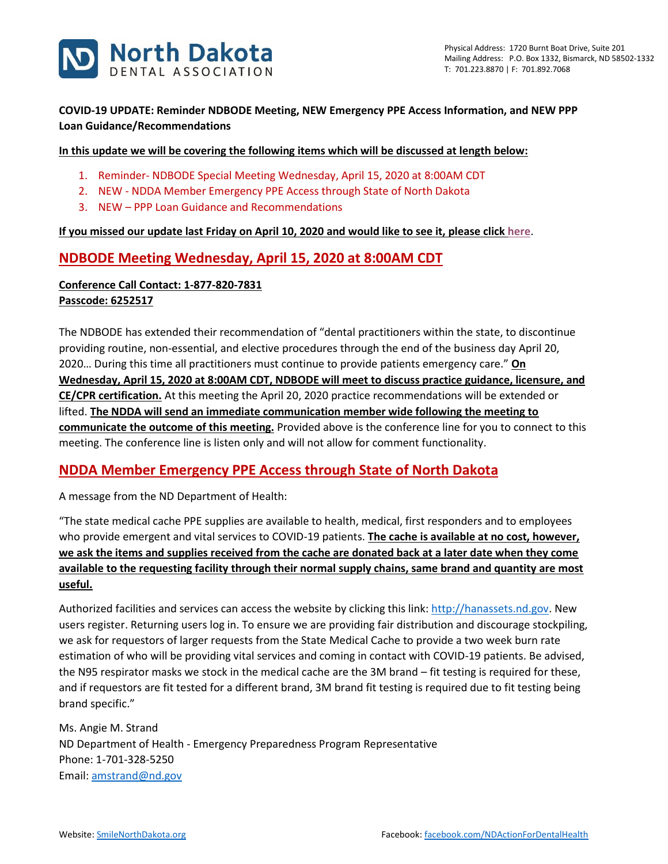

### **COVID-19 UPDATE: Reminder NDBODE Meeting, NEW Emergency PPE Access Information, and NEW PPP Loan Guidance/Recommendations**

#### **In this update we will be covering the following items which will be discussed at length below:**

- 1. Reminder- NDBODE Special Meeting Wednesday, April 15, 2020 at 8:00AM CDT
- 2. NEW NDDA Member Emergency PPE Access through State of North Dakota
- 3. NEW PPP Loan Guidance and Recommendations

#### **If you missed our update last Friday on April 10, 2020 and would like to see it, please clic[k here](https://www.smilenorthdakota.org/docs/librariesprovider39/default-document-library/covid-19-april-10-2020-update.pdf?sfvrsn=2)**.

### **NDBODE Meeting Wednesday, April 15, 2020 at 8:00AM CDT**

### **Conference Call Contact: 1-877-820-7831 Passcode: 6252517**

The NDBODE has extended their recommendation of "dental practitioners within the state, to discontinue providing routine, non-essential, and elective procedures through the end of the business day April 20, 2020… During this time all practitioners must continue to provide patients emergency care." **On Wednesday, April 15, 2020 at 8:00AM CDT, NDBODE will meet to discuss practice guidance, licensure, and CE/CPR certification.** At this meeting the April 20, 2020 practice recommendations will be extended or lifted. **The NDDA will send an immediate communication member wide following the meeting to communicate the outcome of this meeting.** Provided above is the conference line for you to connect to this meeting. The conference line is listen only and will not allow for comment functionality.

## **NDDA Member Emergency PPE Access through State of North Dakota**

A message from the ND Department of Health:

"The state medical cache PPE supplies are available to health, medical, first responders and to employees who provide emergent and vital services to COVID-19 patients. **The cache is available at no cost, however, we ask the items and supplies received from the cache are donated back at a later date when they come available to the requesting facility through their normal supply chains, same brand and quantity are most useful.**

Authorized facilities and services can access the website by clicking this link[: http://hanassets.nd.gov.](http://hanassets.nd.gov/) New users register. Returning users log in. To ensure we are providing fair distribution and discourage stockpiling, we ask for requestors of larger requests from the State Medical Cache to provide a two week burn rate estimation of who will be providing vital services and coming in contact with COVID-19 patients. Be advised, the N95 respirator masks we stock in the medical cache are the 3M brand – fit testing is required for these, and if requestors are fit tested for a different brand, 3M brand fit testing is required due to fit testing being brand specific."

Ms. Angie M. Strand ND Department of Health - Emergency Preparedness Program Representative Phone: 1-701-328-5250 Email: [amstrand@nd.gov](mailto:amstrand@nd.gov)